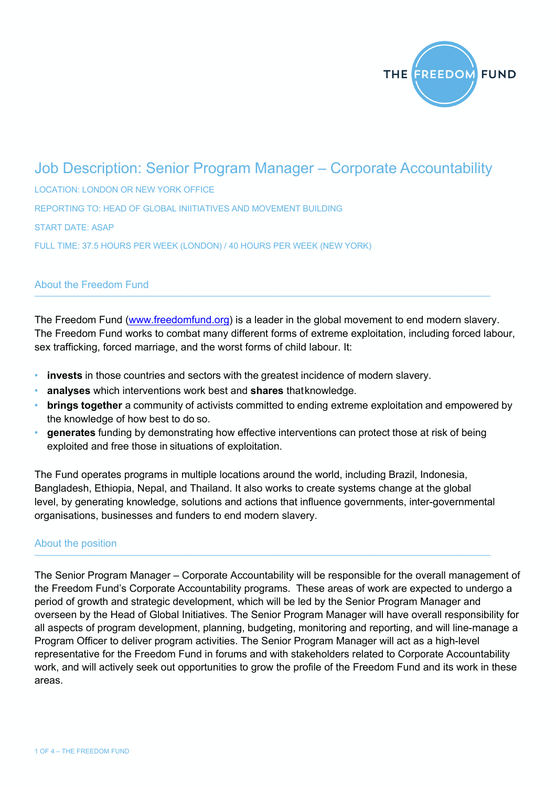

# Job Description: Senior Program Manager – Corporate Accountability

LOCATION: LONDON OR NEW YORK OFFICE REPORTING TO: HEAD OF GLOBAL INIITIATIVES AND MOVEMENT BUILDING START DATE: ASAP FULL TIME: 37.5 HOURS PER WEEK (LONDON) / 40 HOURS PER WEEK (NEW YORK)

# About the Freedom Fund

The Freedom Fund (www.freedomfund.org) is a leader in the global movement to end modern slavery. The Freedom Fund works to combat many different forms of extreme exploitation, including forced labour, sex trafficking, forced marriage, and the worst forms of child labour. It:

- **invests** in those countries and sectors with the greatest incidence of modern slavery.
- **analyses** which interventions work best and **shares** thatknowledge.
- **brings together** a community of activists committed to ending extreme exploitation and empowered by the knowledge of how best to do so.
- **generates** funding by demonstrating how effective interventions can protect those at risk of being exploited and free those in situations of exploitation.

The Fund operates programs in multiple locations around the world, including Brazil, Indonesia, Bangladesh, Ethiopia, Nepal, and Thailand. It also works to create systems change at the global level, by generating knowledge, solutions and actions that influence governments, inter-governmental organisations, businesses and funders to end modern slavery.

#### About the position

The Senior Program Manager – Corporate Accountability will be responsible for the overall management of the Freedom Fund's Corporate Accountability programs. These areas of work are expected to undergo a period of growth and strategic development, which will be led by the Senior Program Manager and overseen by the Head of Global Initiatives. The Senior Program Manager will have overall responsibility for all aspects of program development, planning, budgeting, monitoring and reporting, and will line-manage a Program Officer to deliver program activities. The Senior Program Manager will act as a high-level representative for the Freedom Fund in forums and with stakeholders related to Corporate Accountability work, and will actively seek out opportunities to grow the profile of the Freedom Fund and its work in these areas.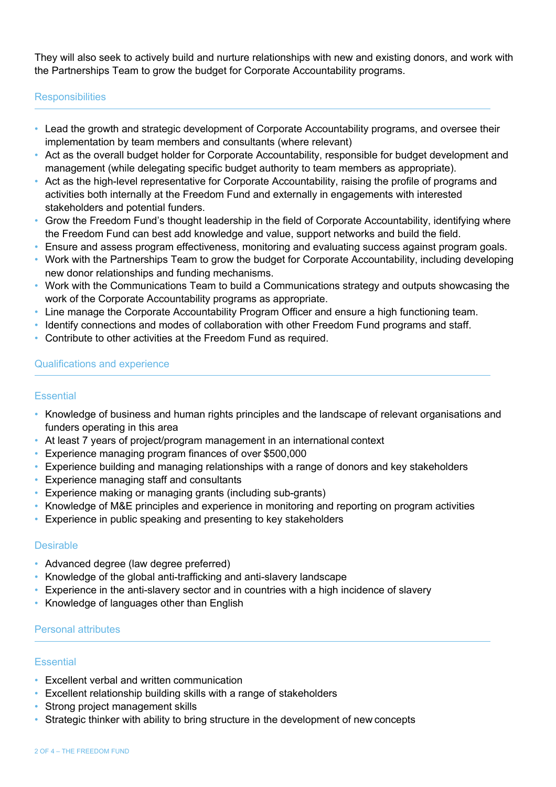They will also seek to actively build and nurture relationships with new and existing donors, and work with the Partnerships Team to grow the budget for Corporate Accountability programs.

# **Responsibilities**

- Lead the growth and strategic development of Corporate Accountability programs, and oversee their implementation by team members and consultants (where relevant)
- Act as the overall budget holder for Corporate Accountability, responsible for budget development and management (while delegating specific budget authority to team members as appropriate).
- Act as the high-level representative for Corporate Accountability, raising the profile of programs and activities both internally at the Freedom Fund and externally in engagements with interested stakeholders and potential funders.
- Grow the Freedom Fund's thought leadership in the field of Corporate Accountability, identifying where the Freedom Fund can best add knowledge and value, support networks and build the field.
- Ensure and assess program effectiveness, monitoring and evaluating success against program goals.
- Work with the Partnerships Team to grow the budget for Corporate Accountability, including developing new donor relationships and funding mechanisms.
- Work with the Communications Team to build a Communications strategy and outputs showcasing the work of the Corporate Accountability programs as appropriate.
- Line manage the Corporate Accountability Program Officer and ensure a high functioning team.
- Identify connections and modes of collaboration with other Freedom Fund programs and staff.
- Contribute to other activities at the Freedom Fund as required.

# Qualifications and experience

## **Essential**

- Knowledge of business and human rights principles and the landscape of relevant organisations and funders operating in this area
- At least 7 years of project/program management in an international context
- Experience managing program finances of over \$500,000
- Experience building and managing relationships with a range of donors and key stakeholders
- Experience managing staff and consultants
- Experience making or managing grants (including sub-grants)
- Knowledge of M&E principles and experience in monitoring and reporting on program activities
- Experience in public speaking and presenting to key stakeholders

#### **Desirable**

- Advanced degree (law degree preferred)
- Knowledge of the global anti-trafficking and anti-slavery landscape
- Experience in the anti-slavery sector and in countries with a high incidence of slavery
- Knowledge of languages other than English

#### Personal attributes

#### Essential

- Excellent verbal and written communication
- Excellent relationship building skills with a range of stakeholders
- Strong project management skills
- Strategic thinker with ability to bring structure in the development of new concepts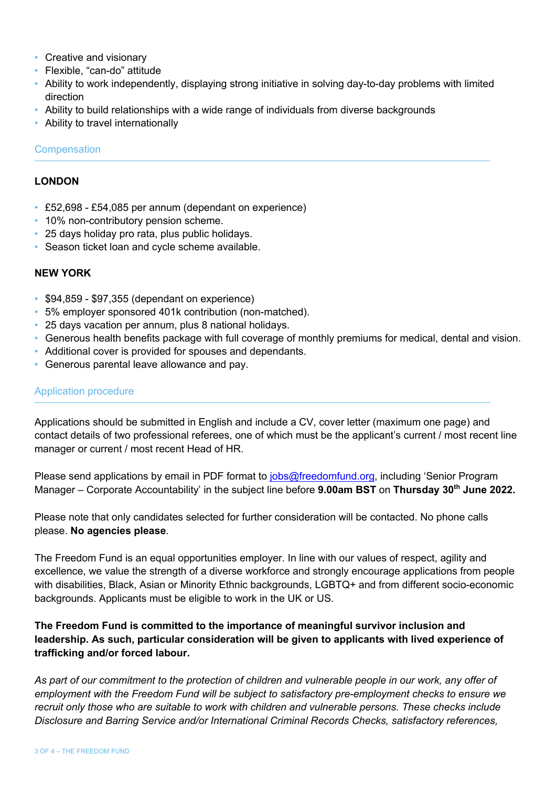- Creative and visionary
- Flexible, "can-do" attitude
- Ability to work independently, displaying strong initiative in solving day-to-day problems with limited direction
- Ability to build relationships with a wide range of individuals from diverse backgrounds
- Ability to travel internationally

## **Compensation**

## **LONDON**

- £52,698 £54,085 per annum (dependant on experience)
- 10% non-contributory pension scheme.
- 25 days holiday pro rata, plus public holidays.
- Season ticket loan and cycle scheme available.

# **NEW YORK**

- \$94,859 \$97,355 (dependant on experience)
- 5% employer sponsored 401k contribution (non-matched).
- 25 days vacation per annum, plus 8 national holidays.
- Generous health benefits package with full coverage of monthly premiums for medical, dental and vision.
- Additional cover is provided for spouses and dependants.
- Generous parental leave allowance and pay.

# Application procedure

Applications should be submitted in English and include a CV, cover letter (maximum one page) and contact details of two professional referees, one of which must be the applicant's current / most recent line manager or current / most recent Head of HR.

Please send applications by email in PDF format to jobs@freedomfund.org, including 'Senior Program Manager – Corporate Accountability' in the subject line before **9.00am BST** on **Thursday 30th June 2022.**

Please note that only candidates selected for further consideration will be contacted. No phone calls please. **No agencies please**.

The Freedom Fund is an equal opportunities employer. In line with our values of respect, agility and excellence, we value the strength of a diverse workforce and strongly encourage applications from people with disabilities, Black, Asian or Minority Ethnic backgrounds, LGBTQ+ and from different socio-economic backgrounds. Applicants must be eligible to work in the UK or US.

# **The Freedom Fund is committed to the importance of meaningful survivor inclusion and leadership. As such, particular consideration will be given to applicants with lived experience of trafficking and/or forced labour.**

*As part of our commitment to the protection of children and vulnerable people in our work, any offer of employment with the Freedom Fund will be subject to satisfactory pre-employment checks to ensure we recruit only those who are suitable to work with children and vulnerable persons. These checks include Disclosure and Barring Service and/or International Criminal Records Checks, satisfactory references,*